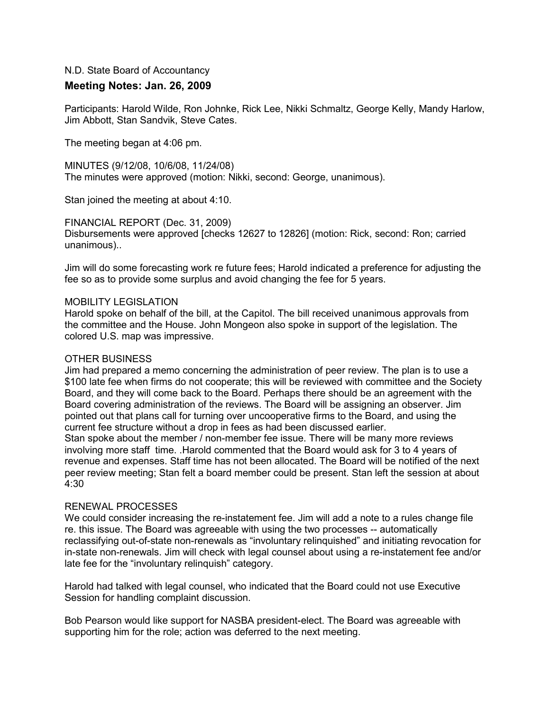# N.D. State Board of Accountancy

# **Meeting Notes: Jan. 26, 2009**

Participants: Harold Wilde, Ron Johnke, Rick Lee, Nikki Schmaltz, George Kelly, Mandy Harlow, Jim Abbott, Stan Sandvik, Steve Cates.

The meeting began at 4:06 pm.

MINUTES (9/12/08, 10/6/08, 11/24/08) The minutes were approved (motion: Nikki, second: George, unanimous).

Stan joined the meeting at about 4:10.

FINANCIAL REPORT (Dec. 31, 2009)

Disbursements were approved [checks 12627 to 12826] (motion: Rick, second: Ron; carried unanimous)..

Jim will do some forecasting work re future fees; Harold indicated a preference for adjusting the fee so as to provide some surplus and avoid changing the fee for 5 years.

### MOBILITY LEGISLATION

Harold spoke on behalf of the bill, at the Capitol. The bill received unanimous approvals from the committee and the House. John Mongeon also spoke in support of the legislation. The colored U.S. map was impressive.

### OTHER BUSINESS

Jim had prepared a memo concerning the administration of peer review. The plan is to use a \$100 late fee when firms do not cooperate; this will be reviewed with committee and the Society Board, and they will come back to the Board. Perhaps there should be an agreement with the Board covering administration of the reviews. The Board will be assigning an observer. Jim pointed out that plans call for turning over uncooperative firms to the Board, and using the current fee structure without a drop in fees as had been discussed earlier.

Stan spoke about the member / non-member fee issue. There will be many more reviews involving more staff time. .Harold commented that the Board would ask for 3 to 4 years of revenue and expenses. Staff time has not been allocated. The Board will be notified of the next peer review meeting; Stan felt a board member could be present. Stan left the session at about 4:30

### RENEWAL PROCESSES

We could consider increasing the re-instatement fee. Jim will add a note to a rules change file re. this issue. The Board was agreeable with using the two processes -- automatically reclassifying out-of-state non-renewals as "involuntary relinquished" and initiating revocation for in-state non-renewals. Jim will check with legal counsel about using a re-instatement fee and/or late fee for the "involuntary relinquish" category.

Harold had talked with legal counsel, who indicated that the Board could not use Executive Session for handling complaint discussion.

Bob Pearson would like support for NASBA president-elect. The Board was agreeable with supporting him for the role; action was deferred to the next meeting.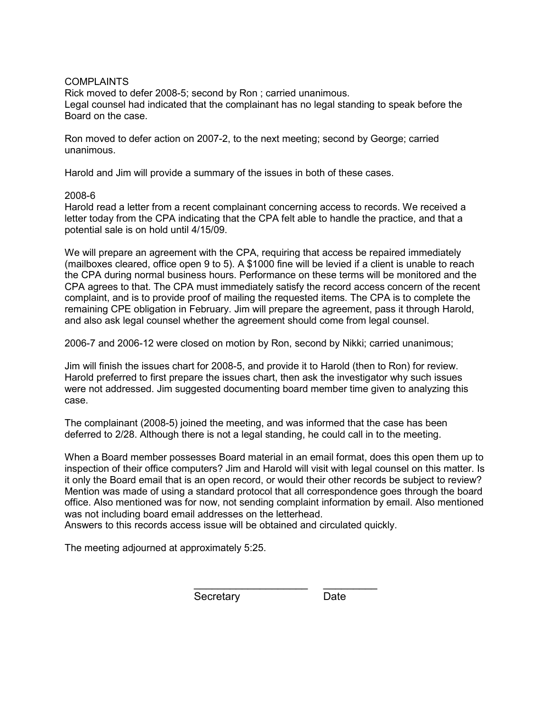### **COMPLAINTS**

Rick moved to defer 2008-5; second by Ron ; carried unanimous. Legal counsel had indicated that the complainant has no legal standing to speak before the Board on the case.

Ron moved to defer action on 2007-2, to the next meeting; second by George; carried unanimous.

Harold and Jim will provide a summary of the issues in both of these cases.

## 2008-6

Harold read a letter from a recent complainant concerning access to records. We received a letter today from the CPA indicating that the CPA felt able to handle the practice, and that a potential sale is on hold until 4/15/09.

We will prepare an agreement with the CPA, requiring that access be repaired immediately (mailboxes cleared, office open 9 to 5). A \$1000 fine will be levied if a client is unable to reach the CPA during normal business hours. Performance on these terms will be monitored and the CPA agrees to that. The CPA must immediately satisfy the record access concern of the recent complaint, and is to provide proof of mailing the requested items. The CPA is to complete the remaining CPE obligation in February. Jim will prepare the agreement, pass it through Harold, and also ask legal counsel whether the agreement should come from legal counsel.

2006-7 and 2006-12 were closed on motion by Ron, second by Nikki; carried unanimous;

Jim will finish the issues chart for 2008-5, and provide it to Harold (then to Ron) for review. Harold preferred to first prepare the issues chart, then ask the investigator why such issues were not addressed. Jim suggested documenting board member time given to analyzing this case.

The complainant (2008-5) joined the meeting, and was informed that the case has been deferred to 2/28. Although there is not a legal standing, he could call in to the meeting.

When a Board member possesses Board material in an email format, does this open them up to inspection of their office computers? Jim and Harold will visit with legal counsel on this matter. Is it only the Board email that is an open record, or would their other records be subject to review? Mention was made of using a standard protocol that all correspondence goes through the board office. Also mentioned was for now, not sending complaint information by email. Also mentioned was not including board email addresses on the letterhead.

 $\frac{1}{2}$  ,  $\frac{1}{2}$  ,  $\frac{1}{2}$  ,  $\frac{1}{2}$  ,  $\frac{1}{2}$  ,  $\frac{1}{2}$  ,  $\frac{1}{2}$  ,  $\frac{1}{2}$  ,  $\frac{1}{2}$  ,  $\frac{1}{2}$  ,  $\frac{1}{2}$  ,  $\frac{1}{2}$  ,  $\frac{1}{2}$  ,  $\frac{1}{2}$  ,  $\frac{1}{2}$  ,  $\frac{1}{2}$  ,  $\frac{1}{2}$  ,  $\frac{1}{2}$  ,  $\frac{1$ 

Answers to this records access issue will be obtained and circulated quickly.

The meeting adjourned at approximately 5:25.

Secretary Date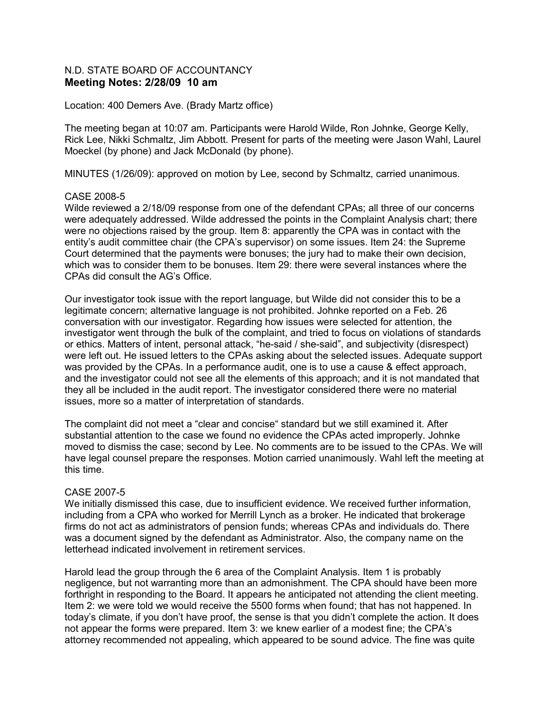## N.D. STATE BOARD OF ACCOUNTANCY **Meeting Notes: 2/28/09 10 am**

### Location: 400 Demers Ave. (Brady Martz office)

The meeting began at 10:07 am. Participants were Harold Wilde, Ron Johnke, George Kelly, Rick Lee, Nikki Schmaltz, Jim Abbott. Present for parts of the meeting were Jason Wahl, Laurel Moeckel (by phone) and Jack McDonald (by phone).

MINUTES (1/26/09): approved on motion by Lee, second by Schmaltz, carried unanimous.

### CASE 2008-5

Wilde reviewed a 2/18/09 response from one of the defendant CPAs; all three of our concerns were adequately addressed. Wilde addressed the points in the Complaint Analysis chart; there were no objections raised by the group. Item 8: apparently the CPA was in contact with the entity's audit committee chair (the CPA's supervisor) on some issues. Item 24: the Supreme Court determined that the payments were bonuses; the jury had to make their own decision, which was to consider them to be bonuses. Item 29: there were several instances where the CPAs did consult the AG's Office.

Our investigator took issue with the report language, but Wilde did not consider this to be a legitimate concern; alternative language is not prohibited. Johnke reported on a Feb. 26 conversation with our investigator. Regarding how issues were selected for attention, the investigator went through the bulk of the complaint, and tried to focus on violations of standards or ethics. Matters of intent, personal attack, "he-said / she-said", and subjectivity (disrespect) were left out. He issued letters to the CPAs asking about the selected issues. Adequate support was provided by the CPAs. In a performance audit, one is to use a cause & effect approach, and the investigator could not see all the elements of this approach; and it is not mandated that they all be included in the audit report. The investigator considered there were no material issues, more so a matter of interpretation of standards.

The complaint did not meet a "clear and concise" standard but we still examined it. After substantial attention to the case we found no evidence the CPAs acted improperly. Johnke moved to dismiss the case; second by Lee. No comments are to be issued to the CPAs. We will have legal counsel prepare the responses. Motion carried unanimously. Wahl left the meeting at this time.

### CASE 2007-5

We initially dismissed this case, due to insufficient evidence. We received further information, including from a CPA who worked for Merrill Lynch as a broker. He indicated that brokerage firms do not act as administrators of pension funds; whereas CPAs and individuals do. There was a document signed by the defendant as Administrator. Also, the company name on the letterhead indicated involvement in retirement services.

Harold lead the group through the 6 area of the Complaint Analysis. Item 1 is probably negligence, but not warranting more than an admonishment. The CPA should have been more forthright in responding to the Board. It appears he anticipated not attending the client meeting. Item 2: we were told we would receive the 5500 forms when found; that has not happened. In today's climate, if you don't have proof, the sense is that you didn't complete the action. It does not appear the forms were prepared. Item 3: we knew earlier of a modest fine; the CPA's attorney recommended not appealing, which appeared to be sound advice. The fine was quite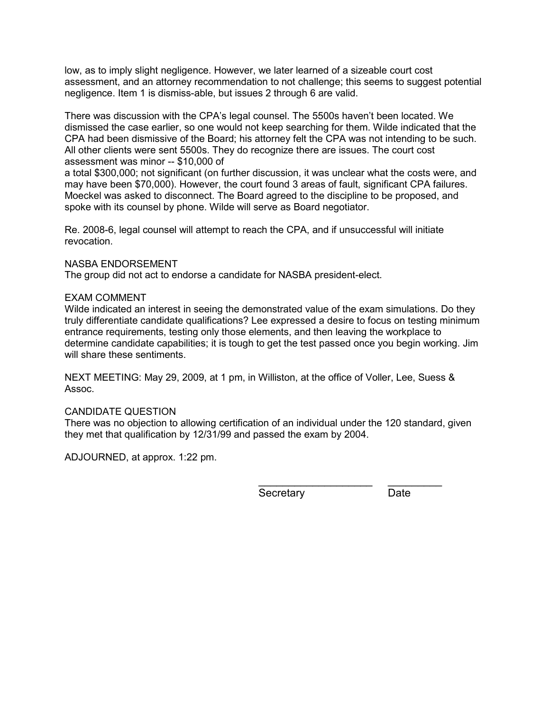low, as to imply slight negligence. However, we later learned of a sizeable court cost assessment, and an attorney recommendation to not challenge; this seems to suggest potential negligence. Item 1 is dismiss-able, but issues 2 through 6 are valid.

There was discussion with the CPA's legal counsel. The 5500s haven't been located. We dismissed the case earlier, so one would not keep searching for them. Wilde indicated that the CPA had been dismissive of the Board; his attorney felt the CPA was not intending to be such. All other clients were sent 5500s. They do recognize there are issues. The court cost assessment was minor -- \$10,000 of

a total \$300,000; not significant (on further discussion, it was unclear what the costs were, and may have been \$70,000). However, the court found 3 areas of fault, significant CPA failures. Moeckel was asked to disconnect. The Board agreed to the discipline to be proposed, and spoke with its counsel by phone. Wilde will serve as Board negotiator.

Re. 2008-6, legal counsel will attempt to reach the CPA, and if unsuccessful will initiate revocation.

## NASBA ENDORSEMENT

The group did not act to endorse a candidate for NASBA president-elect.

## EXAM COMMENT

Wilde indicated an interest in seeing the demonstrated value of the exam simulations. Do they truly differentiate candidate qualifications? Lee expressed a desire to focus on testing minimum entrance requirements, testing only those elements, and then leaving the workplace to determine candidate capabilities; it is tough to get the test passed once you begin working. Jim will share these sentiments.

NEXT MEETING: May 29, 2009, at 1 pm, in Williston, at the office of Voller, Lee, Suess & Assoc.

### CANDIDATE QUESTION

There was no objection to allowing certification of an individual under the 120 standard, given they met that qualification by 12/31/99 and passed the exam by 2004.

ADJOURNED, at approx. 1:22 pm.

Secretary Date

\_\_\_\_\_\_\_\_\_\_\_\_\_\_\_\_\_\_\_ \_\_\_\_\_\_\_\_\_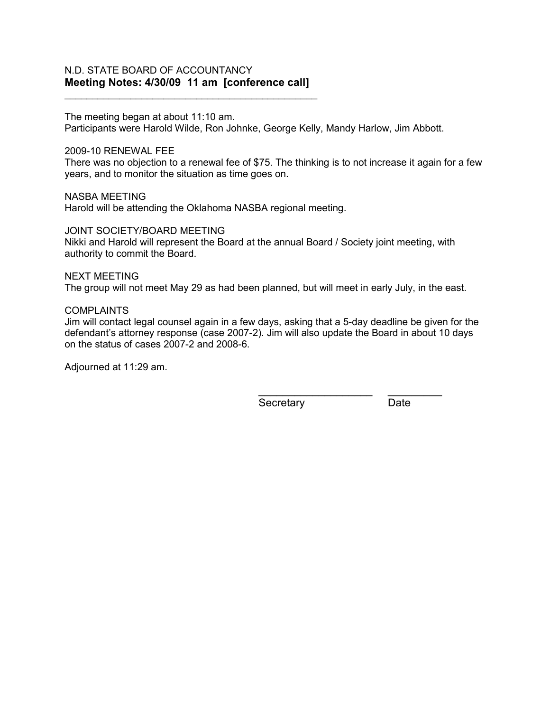## N.D. STATE BOARD OF ACCOUNTANCY **Meeting Notes: 4/30/09 11 am [conference call]**

\_\_\_\_\_\_\_\_\_\_\_\_\_\_\_\_\_\_\_\_\_\_\_\_\_\_\_\_\_\_\_\_\_\_\_\_\_\_\_\_\_\_\_\_\_\_

The meeting began at about 11:10 am.

Participants were Harold Wilde, Ron Johnke, George Kelly, Mandy Harlow, Jim Abbott.

### 2009-10 RENEWAL FEE

There was no objection to a renewal fee of \$75. The thinking is to not increase it again for a few years, and to monitor the situation as time goes on.

NASBA MEETING Harold will be attending the Oklahoma NASBA regional meeting.

JOINT SOCIETY/BOARD MEETING

Nikki and Harold will represent the Board at the annual Board / Society joint meeting, with authority to commit the Board.

### NEXT MEETING

The group will not meet May 29 as had been planned, but will meet in early July, in the east.

#### COMPLAINTS

Jim will contact legal counsel again in a few days, asking that a 5-day deadline be given for the defendant's attorney response (case 2007-2). Jim will also update the Board in about 10 days on the status of cases 2007-2 and 2008-6.

Adjourned at 11:29 am.

Secretary Date

 $\frac{1}{2}$  ,  $\frac{1}{2}$  ,  $\frac{1}{2}$  ,  $\frac{1}{2}$  ,  $\frac{1}{2}$  ,  $\frac{1}{2}$  ,  $\frac{1}{2}$  ,  $\frac{1}{2}$  ,  $\frac{1}{2}$  ,  $\frac{1}{2}$  ,  $\frac{1}{2}$  ,  $\frac{1}{2}$  ,  $\frac{1}{2}$  ,  $\frac{1}{2}$  ,  $\frac{1}{2}$  ,  $\frac{1}{2}$  ,  $\frac{1}{2}$  ,  $\frac{1}{2}$  ,  $\frac{1$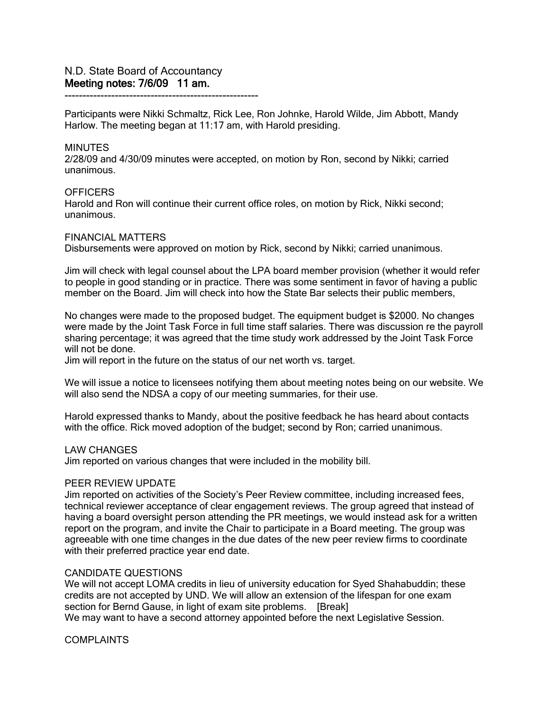------------------------------------------------------

Participants were Nikki Schmaltz, Rick Lee, Ron Johnke, Harold Wilde, Jim Abbott, Mandy Harlow. The meeting began at 11:17 am, with Harold presiding.

#### **MINUTES**

2/28/09 and 4/30/09 minutes were accepted, on motion by Ron, second by Nikki; carried unanimous.

#### **OFFICERS**

Harold and Ron will continue their current office roles, on motion by Rick, Nikki second; unanimous.

#### FINANCIAL MATTERS

Disbursements were approved on motion by Rick, second by Nikki; carried unanimous.

Jim will check with legal counsel about the LPA board member provision (whether it would refer to people in good standing or in practice. There was some sentiment in favor of having a public member on the Board. Jim will check into how the State Bar selects their public members,

No changes were made to the proposed budget. The equipment budget is \$2000. No changes were made by the Joint Task Force in full time staff salaries. There was discussion re the payroll sharing percentage; it was agreed that the time study work addressed by the Joint Task Force will not be done.

Jim will report in the future on the status of our net worth vs. target.

We will issue a notice to licensees notifying them about meeting notes being on our website. We will also send the NDSA a copy of our meeting summaries, for their use.

Harold expressed thanks to Mandy, about the positive feedback he has heard about contacts with the office. Rick moved adoption of the budget; second by Ron; carried unanimous.

#### LAW CHANGES

Jim reported on various changes that were included in the mobility bill.

### PEER REVIEW UPDATE

Jim reported on activities of the Society's Peer Review committee, including increased fees, technical reviewer acceptance of clear engagement reviews. The group agreed that instead of having a board oversight person attending the PR meetings, we would instead ask for a written report on the program, and invite the Chair to participate in a Board meeting. The group was agreeable with one time changes in the due dates of the new peer review firms to coordinate with their preferred practice year end date.

### CANDIDATE QUESTIONS

We will not accept LOMA credits in lieu of university education for Syed Shahabuddin; these credits are not accepted by UND. We will allow an extension of the lifespan for one exam section for Bernd Gause, in light of exam site problems. [Break] We may want to have a second attorney appointed before the next Legislative Session.

COMPLAINTS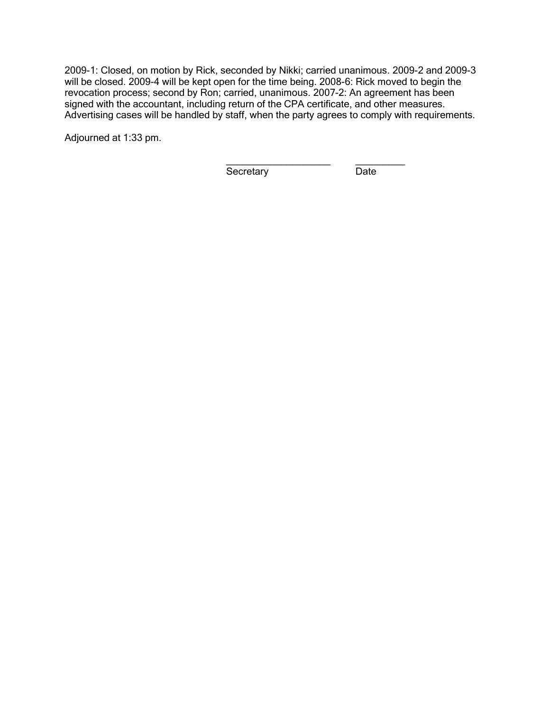2009-1: Closed, on motion by Rick, seconded by Nikki; carried unanimous. 2009-2 and 2009-3 will be closed. 2009-4 will be kept open for the time being. 2008-6: Rick moved to begin the revocation process; second by Ron; carried, unanimous. 2007-2: An agreement has been signed with the accountant, including return of the CPA certificate, and other measures. Advertising cases will be handled by staff, when the party agrees to comply with requirements.

Adjourned at 1:33 pm.

\_\_\_\_\_\_\_\_\_\_\_\_\_\_\_\_\_\_\_ \_\_\_\_\_\_\_\_\_ Secretary Date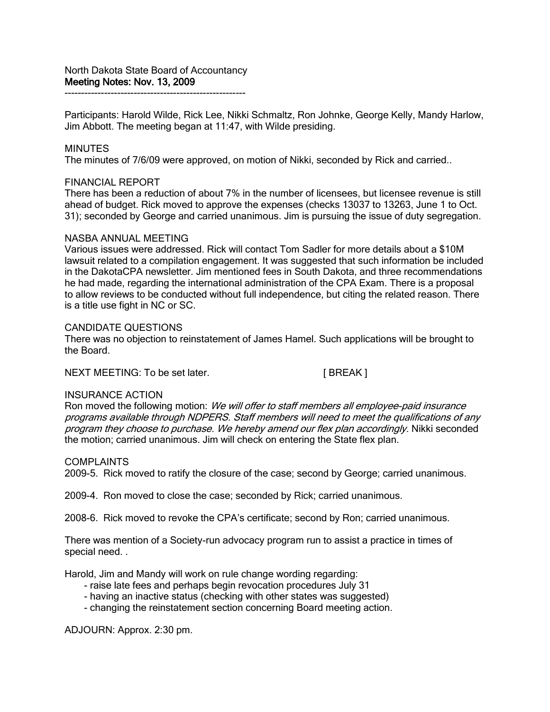Participants: Harold Wilde, Rick Lee, Nikki Schmaltz, Ron Johnke, George Kelly, Mandy Harlow, Jim Abbott. The meeting began at 11:47, with Wilde presiding.

## **MINUTES**

The minutes of 7/6/09 were approved, on motion of Nikki, seconded by Rick and carried..

### FINANCIAL REPORT

There has been a reduction of about 7% in the number of licensees, but licensee revenue is still ahead of budget. Rick moved to approve the expenses (checks 13037 to 13263, June 1 to Oct. 31); seconded by George and carried unanimous. Jim is pursuing the issue of duty segregation.

### NASBA ANNUAL MEETING

Various issues were addressed. Rick will contact Tom Sadler for more details about a \$10M lawsuit related to a compilation engagement. It was suggested that such information be included in the DakotaCPA newsletter. Jim mentioned fees in South Dakota, and three recommendations he had made, regarding the international administration of the CPA Exam. There is a proposal to allow reviews to be conducted without full independence, but citing the related reason. There is a title use fight in NC or SC.

#### CANDIDATE QUESTIONS

There was no objection to reinstatement of James Hamel. Such applications will be brought to the Board.

NEXT MEETING: To be set later. [ BREAK ]

### INSURANCE ACTION

Ron moved the following motion: We will offer to staff members all employee-paid insurance programs available through NDPERS. Staff members will need to meet the qualifications of any program they choose to purchase. We hereby amend our flex plan accordingly. Nikki seconded the motion; carried unanimous. Jim will check on entering the State flex plan.

### COMPLAINTS

2009-5. Rick moved to ratify the closure of the case; second by George; carried unanimous.

2009-4. Ron moved to close the case; seconded by Rick; carried unanimous.

2008-6. Rick moved to revoke the CPA's certificate; second by Ron; carried unanimous.

There was mention of a Society-run advocacy program run to assist a practice in times of special need. .

Harold, Jim and Mandy will work on rule change wording regarding:

- raise late fees and perhaps begin revocation procedures July 31
- having an inactive status (checking with other states was suggested)
- changing the reinstatement section concerning Board meeting action.

ADJOURN: Approx. 2:30 pm.